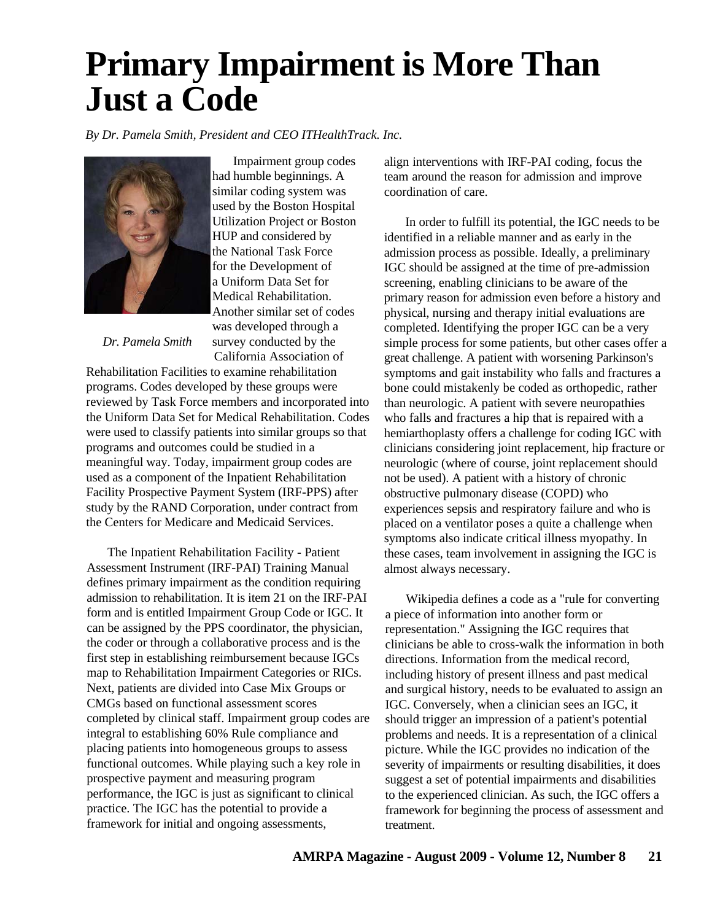## **Primary Impairment is More Than Just a Code**

*By Dr. Pamela Smith, President and CEO ITHealthTrack. Inc.*



Impairment group codes had humble beginnings. A similar coding system was used by the Boston Hospital Utilization Project or Boston HUP and considered by the National Task Force for the Development of a Uniform Data Set for Medical Rehabilitation. Another similar set of codes was developed through a survey conducted by the California Association of

*Dr. Pamela Smith*

Rehabilitation Facilities to examine rehabilitation programs. Codes developed by these groups were reviewed by Task Force members and incorporated into the Uniform Data Set for Medical Rehabilitation. Codes were used to classify patients into similar groups so that programs and outcomes could be studied in a meaningful way. Today, impairment group codes are used as a component of the Inpatient Rehabilitation Facility Prospective Payment System (IRF-PPS) after study by the RAND Corporation, under contract from the Centers for Medicare and Medicaid Services.

The Inpatient Rehabilitation Facility - Patient Assessment Instrument (IRF-PAI) Training Manual defines primary impairment as the condition requiring admission to rehabilitation. It is item 21 on the IRF-PAI form and is entitled Impairment Group Code or IGC. It can be assigned by the PPS coordinator, the physician, the coder or through a collaborative process and is the first step in establishing reimbursement because IGCs map to Rehabilitation Impairment Categories or RICs. Next, patients are divided into Case Mix Groups or CMGs based on functional assessment scores completed by clinical staff. Impairment group codes are integral to establishing 60% Rule compliance and placing patients into homogeneous groups to assess functional outcomes. While playing such a key role in prospective payment and measuring program performance, the IGC is just as significant to clinical practice. The IGC has the potential to provide a framework for initial and ongoing assessments,

align interventions with IRF-PAI coding, focus the team around the reason for admission and improve coordination of care.

In order to fulfill its potential, the IGC needs to be identified in a reliable manner and as early in the admission process as possible. Ideally, a preliminary IGC should be assigned at the time of pre-admission screening, enabling clinicians to be aware of the primary reason for admission even before a history and physical, nursing and therapy initial evaluations are completed. Identifying the proper IGC can be a very simple process for some patients, but other cases offer a great challenge. A patient with worsening Parkinson's symptoms and gait instability who falls and fractures a bone could mistakenly be coded as orthopedic, rather than neurologic. A patient with severe neuropathies who falls and fractures a hip that is repaired with a hemiarthoplasty offers a challenge for coding IGC with clinicians considering joint replacement, hip fracture or neurologic (where of course, joint replacement should not be used). A patient with a history of chronic obstructive pulmonary disease (COPD) who experiences sepsis and respiratory failure and who is placed on a ventilator poses a quite a challenge when symptoms also indicate critical illness myopathy. In these cases, team involvement in assigning the IGC is almost always necessary.

Wikipedia defines a code as a "rule for converting a piece of information into another form or representation." Assigning the IGC requires that clinicians be able to cross-walk the information in both directions. Information from the medical record, including history of present illness and past medical and surgical history, needs to be evaluated to assign an IGC. Conversely, when a clinician sees an IGC, it should trigger an impression of a patient's potential problems and needs. It is a representation of a clinical picture. While the IGC provides no indication of the severity of impairments or resulting disabilities, it does suggest a set of potential impairments and disabilities to the experienced clinician. As such, the IGC offers a framework for beginning the process of assessment and treatment.